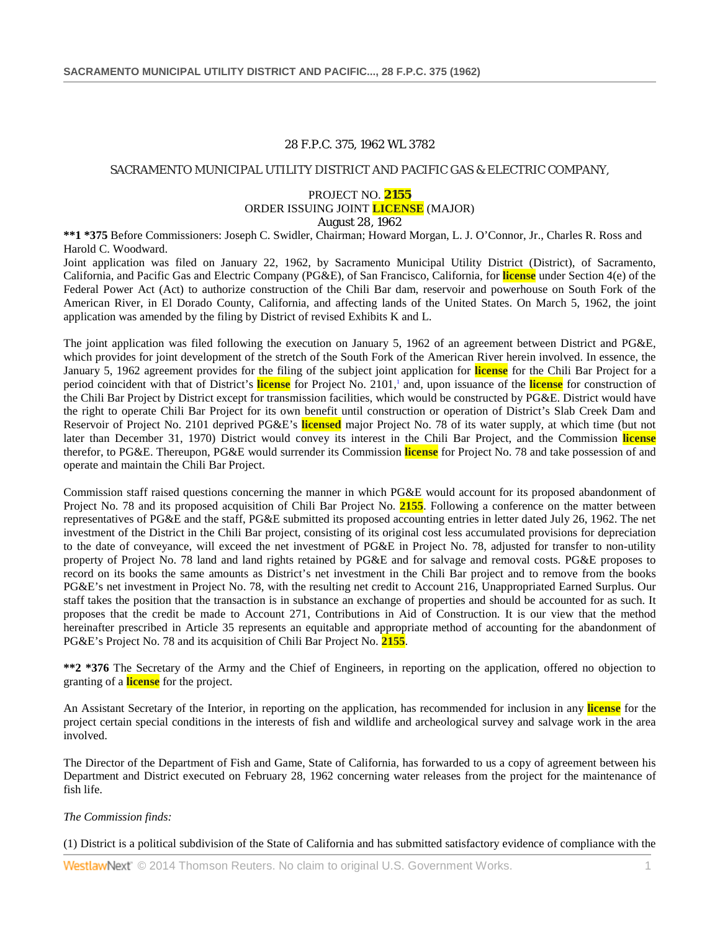# 28 F.P.C. 375, 1962 WL 3782

### SACRAMENTO MUNICIPAL UTILITY DISTRICT AND PACIFIC GAS & ELECTRIC COMPANY,

## PROJECT NO. **2155** ORDER ISSUING JOINT **LICENSE** (MAJOR) August 28, 1962

**\*\*1 \*375** Before Commissioners: Joseph C. Swidler, Chairman; Howard Morgan, L. J. O'Connor, Jr., Charles R. Ross and Harold C. Woodward.

Joint application was filed on January 22, 1962, by Sacramento Municipal Utility District (District), of Sacramento, California, and Pacific Gas and Electric Company (PG&E), of San Francisco, California, for **license** under Section 4(e) of the Federal Power Act (Act) to authorize construction of the Chili Bar dam, reservoir and powerhouse on South Fork of the American River, in El Dorado County, California, and affecting lands of the United States. On March 5, 1962, the joint application was amended by the filing by District of revised Exhibits K and L.

The joint application was filed following the execution on January 5, 1962 of an agreement between District and PG&E, which provides for joint development of the stretch of the South Fork of the American River herein involved. In essence, the January 5, 1962 agreement provides for the filing of the subject joint application for **license** for the Chili Bar Project for a period coincident with that of District's **license** for Project No. 2101,<sup>1</sup> and, upon issuance of the **license** for construction of the Chili Bar Project by District except for transmission facilities, which would be constructed by PG&E. District would have the right to operate Chili Bar Project for its own benefit until construction or operation of District's Slab Creek Dam and Reservoir of Project No. 2101 deprived PG&E's **licensed** major Project No. 78 of its water supply, at which time (but not later than December 31, 1970) District would convey its interest in the Chili Bar Project, and the Commission **license** therefor, to PG&E. Thereupon, PG&E would surrender its Commission **license** for Project No. 78 and take possession of and operate and maintain the Chili Bar Project.

Commission staff raised questions concerning the manner in which PG&E would account for its proposed abandonment of Project No. 78 and its proposed acquisition of Chili Bar Project No. **2155**. Following a conference on the matter between representatives of PG&E and the staff, PG&E submitted its proposed accounting entries in letter dated July 26, 1962. The net investment of the District in the Chili Bar project, consisting of its original cost less accumulated provisions for depreciation to the date of conveyance, will exceed the net investment of PG&E in Project No. 78, adjusted for transfer to non-utility property of Project No. 78 land and land rights retained by PG&E and for salvage and removal costs. PG&E proposes to record on its books the same amounts as District's net investment in the Chili Bar project and to remove from the books PG&E's net investment in Project No. 78, with the resulting net credit to Account 216, Unappropriated Earned Surplus. Our staff takes the position that the transaction is in substance an exchange of properties and should be accounted for as such. It proposes that the credit be made to Account 271, Contributions in Aid of Construction. It is our view that the method hereinafter prescribed in Article 35 represents an equitable and appropriate method of accounting for the abandonment of PG&E's Project No. 78 and its acquisition of Chili Bar Project No. **2155**.

**\*\*2 \*376** The Secretary of the Army and the Chief of Engineers, in reporting on the application, offered no objection to granting of a **license** for the project.

An Assistant Secretary of the Interior, in reporting on the application, has recommended for inclusion in any **license** for the project certain special conditions in the interests of fish and wildlife and archeological survey and salvage work in the area involved.

The Director of the Department of Fish and Game, State of California, has forwarded to us a copy of agreement between his Department and District executed on February 28, 1962 concerning water releases from the project for the maintenance of fish life.

### *The Commission finds:*

(1) District is a political subdivision of the State of California and has submitted satisfactory evidence of compliance with the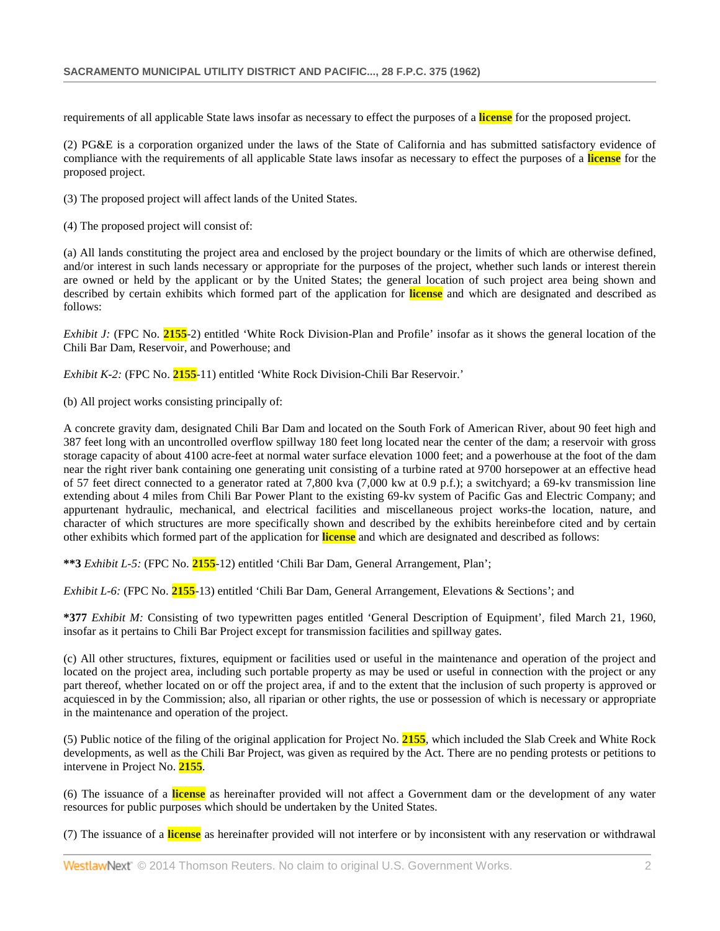requirements of all applicable State laws insofar as necessary to effect the purposes of a **license** for the proposed project.

(2) PG&E is a corporation organized under the laws of the State of California and has submitted satisfactory evidence of compliance with the requirements of all applicable State laws insofar as necessary to effect the purposes of a **license** for the proposed project.

(3) The proposed project will affect lands of the United States.

(4) The proposed project will consist of:

(a) All lands constituting the project area and enclosed by the project boundary or the limits of which are otherwise defined, and/or interest in such lands necessary or appropriate for the purposes of the project, whether such lands or interest therein are owned or held by the applicant or by the United States; the general location of such project area being shown and described by certain exhibits which formed part of the application for **license** and which are designated and described as follows:

*Exhibit J:* (FPC No. 2155-2) entitled 'White Rock Division-Plan and Profile' insofar as it shows the general location of the Chili Bar Dam, Reservoir, and Powerhouse; and

*Exhibit K-2:* (FPC No. **2155**-11) entitled 'White Rock Division-Chili Bar Reservoir.'

(b) All project works consisting principally of:

A concrete gravity dam, designated Chili Bar Dam and located on the South Fork of American River, about 90 feet high and 387 feet long with an uncontrolled overflow spillway 180 feet long located near the center of the dam; a reservoir with gross storage capacity of about 4100 acre-feet at normal water surface elevation 1000 feet; and a powerhouse at the foot of the dam near the right river bank containing one generating unit consisting of a turbine rated at 9700 horsepower at an effective head of 57 feet direct connected to a generator rated at 7,800 kva (7,000 kw at 0.9 p.f.); a switchyard; a 69-kv transmission line extending about 4 miles from Chili Bar Power Plant to the existing 69-kv system of Pacific Gas and Electric Company; and appurtenant hydraulic, mechanical, and electrical facilities and miscellaneous project works-the location, nature, and character of which structures are more specifically shown and described by the exhibits hereinbefore cited and by certain other exhibits which formed part of the application for **license** and which are designated and described as follows:

**\*\*3** *Exhibit L-5:* (FPC No. **2155**-12) entitled 'Chili Bar Dam, General Arrangement, Plan';

*Exhibit L-6:* (FPC No. **2155**-13) entitled 'Chili Bar Dam, General Arrangement, Elevations & Sections'; and

**\*377** *Exhibit M:* Consisting of two typewritten pages entitled 'General Description of Equipment', filed March 21, 1960, insofar as it pertains to Chili Bar Project except for transmission facilities and spillway gates.

(c) All other structures, fixtures, equipment or facilities used or useful in the maintenance and operation of the project and located on the project area, including such portable property as may be used or useful in connection with the project or any part thereof, whether located on or off the project area, if and to the extent that the inclusion of such property is approved or acquiesced in by the Commission; also, all riparian or other rights, the use or possession of which is necessary or appropriate in the maintenance and operation of the project.

(5) Public notice of the filing of the original application for Project No. **2155**, which included the Slab Creek and White Rock developments, as well as the Chili Bar Project, was given as required by the Act. There are no pending protests or petitions to intervene in Project No. **2155**.

(6) The issuance of a **license** as hereinafter provided will not affect a Government dam or the development of any water resources for public purposes which should be undertaken by the United States.

(7) The issuance of a **license** as hereinafter provided will not interfere or by inconsistent with any reservation or withdrawal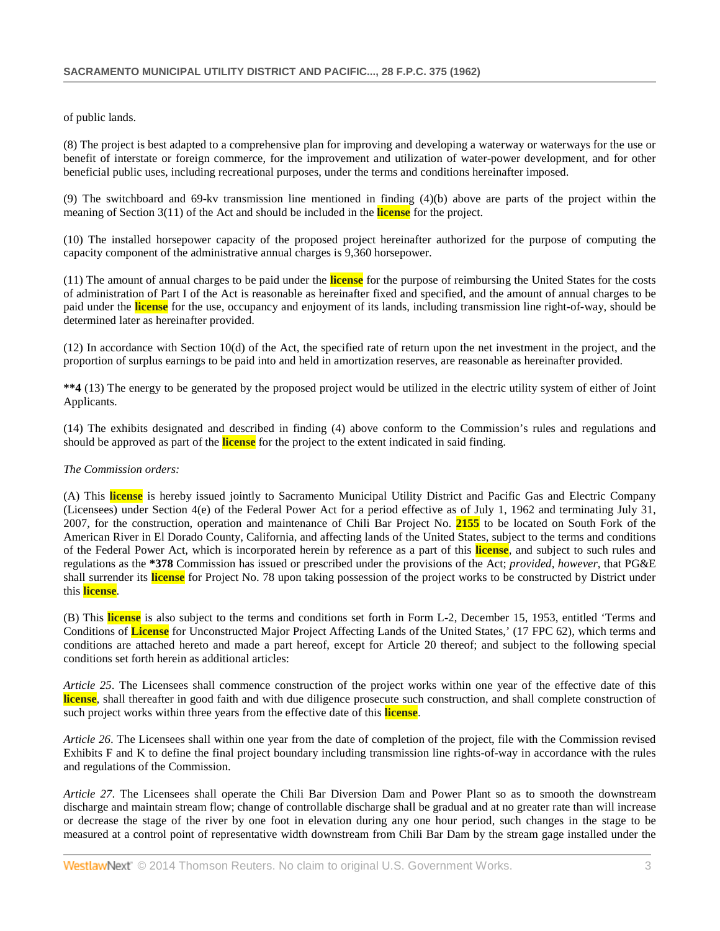of public lands.

(8) The project is best adapted to a comprehensive plan for improving and developing a waterway or waterways for the use or benefit of interstate or foreign commerce, for the improvement and utilization of water-power development, and for other beneficial public uses, including recreational purposes, under the terms and conditions hereinafter imposed.

(9) The switchboard and 69-kv transmission line mentioned in finding (4)(b) above are parts of the project within the meaning of Section 3(11) of the Act and should be included in the **license** for the project.

(10) The installed horsepower capacity of the proposed project hereinafter authorized for the purpose of computing the capacity component of the administrative annual charges is 9,360 horsepower.

(11) The amount of annual charges to be paid under the **license** for the purpose of reimbursing the United States for the costs of administration of Part I of the Act is reasonable as hereinafter fixed and specified, and the amount of annual charges to be paid under the **license** for the use, occupancy and enjoyment of its lands, including transmission line right-of-way, should be determined later as hereinafter provided.

(12) In accordance with Section 10(d) of the Act, the specified rate of return upon the net investment in the project, and the proportion of surplus earnings to be paid into and held in amortization reserves, are reasonable as hereinafter provided.

**\*\*4** (13) The energy to be generated by the proposed project would be utilized in the electric utility system of either of Joint Applicants.

(14) The exhibits designated and described in finding (4) above conform to the Commission's rules and regulations and should be approved as part of the **license** for the project to the extent indicated in said finding.

## *The Commission orders:*

(A) This **license** is hereby issued jointly to Sacramento Municipal Utility District and Pacific Gas and Electric Company (Licensees) under Section 4(e) of the Federal Power Act for a period effective as of July 1, 1962 and terminating July 31, 2007, for the construction, operation and maintenance of Chili Bar Project No. **2155** to be located on South Fork of the American River in El Dorado County, California, and affecting lands of the United States, subject to the terms and conditions of the Federal Power Act, which is incorporated herein by reference as a part of this **license**, and subject to such rules and regulations as the **\*378** Commission has issued or prescribed under the provisions of the Act; *provided, however*, that PG&E shall surrender its **license** for Project No. 78 upon taking possession of the project works to be constructed by District under this **license**.

(B) This **license** is also subject to the terms and conditions set forth in Form L-2, December 15, 1953, entitled 'Terms and Conditions of **License** for Unconstructed Major Project Affecting Lands of the United States,' (17 FPC 62), which terms and conditions are attached hereto and made a part hereof, except for Article 20 thereof; and subject to the following special conditions set forth herein as additional articles:

*Article 25*. The Licensees shall commence construction of the project works within one year of the effective date of this **license**, shall thereafter in good faith and with due diligence prosecute such construction, and shall complete construction of such project works within three years from the effective date of this **license**.

*Article 26*. The Licensees shall within one year from the date of completion of the project, file with the Commission revised Exhibits F and K to define the final project boundary including transmission line rights-of-way in accordance with the rules and regulations of the Commission.

*Article 27*. The Licensees shall operate the Chili Bar Diversion Dam and Power Plant so as to smooth the downstream discharge and maintain stream flow; change of controllable discharge shall be gradual and at no greater rate than will increase or decrease the stage of the river by one foot in elevation during any one hour period, such changes in the stage to be measured at a control point of representative width downstream from Chili Bar Dam by the stream gage installed under the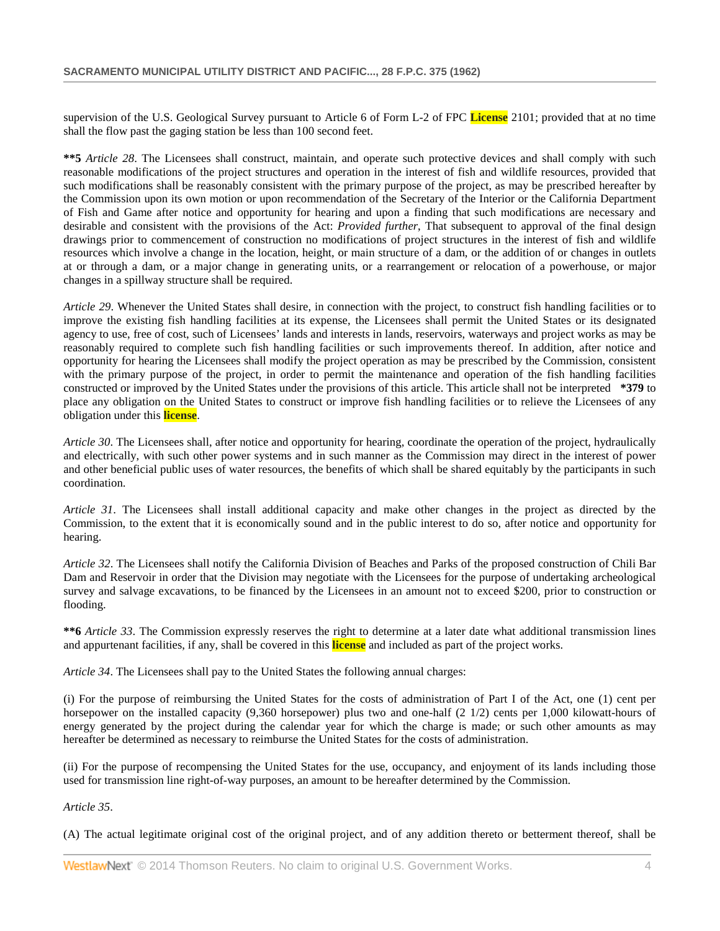supervision of the U.S. Geological Survey pursuant to Article 6 of Form L-2 of FPC **License** 2101; provided that at no time shall the flow past the gaging station be less than 100 second feet.

**\*\*5** *Article 28*. The Licensees shall construct, maintain, and operate such protective devices and shall comply with such reasonable modifications of the project structures and operation in the interest of fish and wildlife resources, provided that such modifications shall be reasonably consistent with the primary purpose of the project, as may be prescribed hereafter by the Commission upon its own motion or upon recommendation of the Secretary of the Interior or the California Department of Fish and Game after notice and opportunity for hearing and upon a finding that such modifications are necessary and desirable and consistent with the provisions of the Act: *Provided further*, That subsequent to approval of the final design drawings prior to commencement of construction no modifications of project structures in the interest of fish and wildlife resources which involve a change in the location, height, or main structure of a dam, or the addition of or changes in outlets at or through a dam, or a major change in generating units, or a rearrangement or relocation of a powerhouse, or major changes in a spillway structure shall be required.

*Article 29*. Whenever the United States shall desire, in connection with the project, to construct fish handling facilities or to improve the existing fish handling facilities at its expense, the Licensees shall permit the United States or its designated agency to use, free of cost, such of Licensees' lands and interests in lands, reservoirs, waterways and project works as may be reasonably required to complete such fish handling facilities or such improvements thereof. In addition, after notice and opportunity for hearing the Licensees shall modify the project operation as may be prescribed by the Commission, consistent with the primary purpose of the project, in order to permit the maintenance and operation of the fish handling facilities constructed or improved by the United States under the provisions of this article. This article shall not be interpreted **\*379** to place any obligation on the United States to construct or improve fish handling facilities or to relieve the Licensees of any obligation under this **license**.

*Article 30*. The Licensees shall, after notice and opportunity for hearing, coordinate the operation of the project, hydraulically and electrically, with such other power systems and in such manner as the Commission may direct in the interest of power and other beneficial public uses of water resources, the benefits of which shall be shared equitably by the participants in such coordination.

*Article 31*. The Licensees shall install additional capacity and make other changes in the project as directed by the Commission, to the extent that it is economically sound and in the public interest to do so, after notice and opportunity for hearing.

*Article 32*. The Licensees shall notify the California Division of Beaches and Parks of the proposed construction of Chili Bar Dam and Reservoir in order that the Division may negotiate with the Licensees for the purpose of undertaking archeological survey and salvage excavations, to be financed by the Licensees in an amount not to exceed \$200, prior to construction or flooding.

**\*\*6** *Article 33*. The Commission expressly reserves the right to determine at a later date what additional transmission lines and appurtenant facilities, if any, shall be covered in this **license** and included as part of the project works.

*Article 34*. The Licensees shall pay to the United States the following annual charges:

(i) For the purpose of reimbursing the United States for the costs of administration of Part I of the Act, one (1) cent per horsepower on the installed capacity (9,360 horsepower) plus two and one-half (2 1/2) cents per 1,000 kilowatt-hours of energy generated by the project during the calendar year for which the charge is made; or such other amounts as may hereafter be determined as necessary to reimburse the United States for the costs of administration.

(ii) For the purpose of recompensing the United States for the use, occupancy, and enjoyment of its lands including those used for transmission line right-of-way purposes, an amount to be hereafter determined by the Commission.

*Article 35*.

(A) The actual legitimate original cost of the original project, and of any addition thereto or betterment thereof, shall be